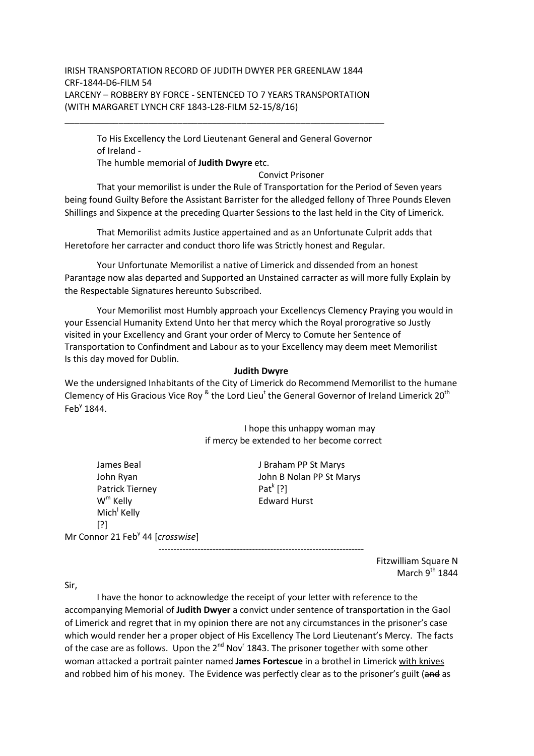## IRISH TRANSPORTATION RECORD OF JUDITH DWYER PER GREENLAW 1844 CRF-1844-D6-FILM 54 LARCENY – ROBBERY BY FORCE - SENTENCED TO 7 YEARS TRANSPORTATION (WITH MARGARET LYNCH CRF 1843-L28-FILM 52-15/8/16)

\_\_\_\_\_\_\_\_\_\_\_\_\_\_\_\_\_\_\_\_\_\_\_\_\_\_\_\_\_\_\_\_\_\_\_\_\_\_\_\_\_\_\_\_\_\_\_\_\_\_\_\_\_\_\_\_\_\_\_\_\_\_\_\_\_

To His Excellency the Lord Lieutenant General and General Governor of Ireland -

The humble memorial of **Judith Dwyre** etc.

## Convict Prisoner

 That your memorilist is under the Rule of Transportation for the Period of Seven years being found Guilty Before the Assistant Barrister for the alledged fellony of Three Pounds Eleven Shillings and Sixpence at the preceding Quarter Sessions to the last held in the City of Limerick.

 That Memorilist admits Justice appertained and as an Unfortunate Culprit adds that Heretofore her carracter and conduct thoro life was Strictly honest and Regular.

 Your Unfortunate Memorilist a native of Limerick and dissended from an honest Parantage now alas departed and Supported an Unstained carracter as will more fully Explain by the Respectable Signatures hereunto Subscribed.

 Your Memorilist most Humbly approach your Excellencys Clemency Praying you would in your Essencial Humanity Extend Unto her that mercy which the Royal prorogrative so Justly visited in your Excellency and Grant your order of Mercy to Comute her Sentence of Transportation to Confindment and Labour as to your Excellency may deem meet Memorilist Is this day moved for Dublin.

## **Judith Dwyre**

We the undersigned Inhabitants of the City of Limerick do Recommend Memorilist to the humane Clemency of His Gracious Vice Roy  $^8$  the Lord Lieu<sup>t</sup> the General Governor of Ireland Limerick 20<sup>th</sup> Feb $y$  1844.

> I hope this unhappy woman may if mercy be extended to her become correct

James Beal James Beal J Braham PP St Marys John Ryan John B Nolan PP St Marys Patrick Tierney  $W^m$  Kelly Mich<sup>i</sup> Kelly [?]

 $Pat<sup>k</sup>$  [?] Edward Hurst

Mr Connor 21 Feb<sup>y</sup> 44 [*crosswise*]

Fitzwilliam Square N March  $9^{th}$  1844

Sir,

I have the honor to acknowledge the receipt of your letter with reference to the accompanying Memorial of **Judith Dwyer** a convict under sentence of transportation in the Gaol of Limerick and regret that in my opinion there are not any circumstances in the prisoner's case which would render her a proper object of His Excellency The Lord Lieutenant's Mercy. The facts of the case are as follows. Upon the  $2^{nd}$  Nov<sup>r</sup> 1843. The prisoner together with some other woman attacked a portrait painter named **James Fortescue** in a brothel in Limerick with knives and robbed him of his money. The Evidence was perfectly clear as to the prisoner's guilt (and as

--------------------------------------------------------------------